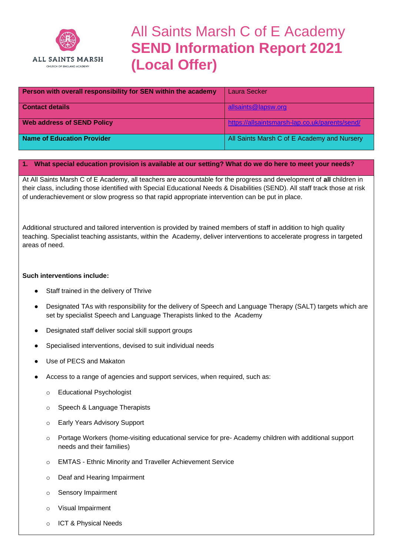

# All Saints Marsh C of E Academy **SEND Information Report 2021 (Local Offer)**

| Person with overall responsibility for SEN within the academy | <b>Laura Secker</b>                            |
|---------------------------------------------------------------|------------------------------------------------|
| <b>Contact details</b>                                        | allsaints@lapsw.org                            |
| <b>Web address of SEND Policy</b>                             | https://allsaintsmarsh-lap.co.uk/parents/send/ |
| Name of Education Provider                                    | All Saints Marsh C of E Academy and Nursery    |

#### **1. What special education provision is available at our setting? What do we do here to meet your needs?**

At All Saints Marsh C of E Academy, all teachers are accountable for the progress and development of **all** children in their class, including those identified with Special Educational Needs & Disabilities (SEND). All staff track those at risk of underachievement or slow progress so that rapid appropriate intervention can be put in place.

Additional structured and tailored intervention is provided by trained members of staff in addition to high quality teaching. Specialist teaching assistants, within the Academy, deliver interventions to accelerate progress in targeted areas of need.

#### **Such interventions include:**

- Staff trained in the delivery of Thrive
- Designated TAs with responsibility for the delivery of Speech and Language Therapy (SALT) targets which are set by specialist Speech and Language Therapists linked to the Academy
- Designated staff deliver social skill support groups
- Specialised interventions, devised to suit individual needs
- Use of PECS and Makaton
- Access to a range of agencies and support services, when required, such as:
	- o Educational Psychologist
	- o Speech & Language Therapists
	- o Early Years Advisory Support
	- o Portage Workers (home-visiting educational service for pre- Academy children with additional support needs and their families)
	- o EMTAS Ethnic Minority and Traveller Achievement Service
	- o Deaf and Hearing Impairment
	- o Sensory Impairment
	- o Visual Impairment
	- o ICT & Physical Needs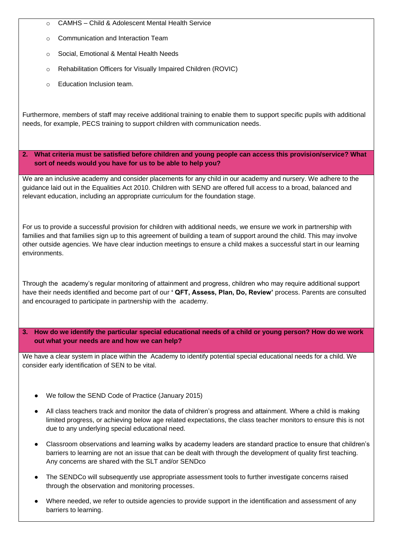- o CAMHS Child & Adolescent Mental Health Service
- Communication and Interaction Team
- o Social, Emotional & Mental Health Needs
- o Rehabilitation Officers for Visually Impaired Children (ROVIC)
- o Education Inclusion team.

Furthermore, members of staff may receive additional training to enable them to support specific pupils with additional needs, for example, PECS training to support children with communication needs.

**2. What criteria must be satisfied before children and young people can access this provision/service? What sort of needs would you have for us to be able to help you?**

We are an inclusive academy and consider placements for any child in our academy and nursery. We adhere to the guidance laid out in the Equalities Act 2010. Children with SEND are offered full access to a broad, balanced and relevant education, including an appropriate curriculum for the foundation stage.

For us to provide a successful provision for children with additional needs, we ensure we work in partnership with families and that families sign up to this agreement of building a team of support around the child. This may involve other outside agencies. We have clear induction meetings to ensure a child makes a successful start in our learning environments.

Through the academy's regular monitoring of attainment and progress, children who may require additional support have their needs identified and become part of our **' QFT, Assess, Plan, Do, Review'** process. Parents are consulted and encouraged to participate in partnership with the academy.

**3. How do we identify the particular special educational needs of a child or young person? How do we work out what your needs are and how we can help?** 

We have a clear system in place within the Academy to identify potential special educational needs for a child. We consider early identification of SEN to be vital.

- We follow the SEND Code of Practice (January 2015)
- All class teachers track and monitor the data of children's progress and attainment. Where a child is making limited progress, or achieving below age related expectations, the class teacher monitors to ensure this is not due to any underlying special educational need.
- Classroom observations and learning walks by academy leaders are standard practice to ensure that children's barriers to learning are not an issue that can be dealt with through the development of quality first teaching. Any concerns are shared with the SLT and/or SENDco
- The SENDCo will subsequently use appropriate assessment tools to further investigate concerns raised through the observation and monitoring processes.
- Where needed, we refer to outside agencies to provide support in the identification and assessment of any barriers to learning.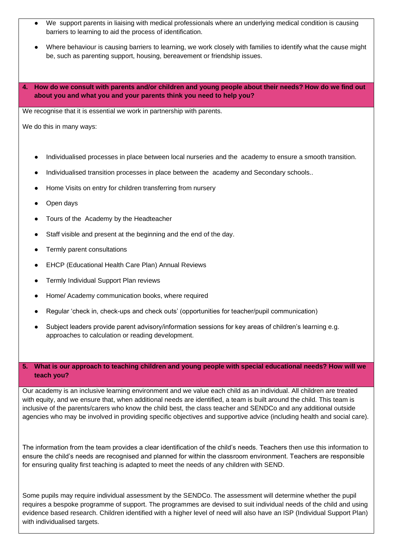- We support parents in liaising with medical professionals where an underlying medical condition is causing barriers to learning to aid the process of identification.
- Where behaviour is causing barriers to learning, we work closely with families to identify what the cause might be, such as parenting support, housing, bereavement or friendship issues.
- **4. How do we consult with parents and/or children and young people about their needs? How do we find out about you and what you and your parents think you need to help you?**

We recognise that it is essential we work in partnership with parents.

We do this in many ways:

- Individualised processes in place between local nurseries and the academy to ensure a smooth transition.
- Individualised transition processes in place between the academy and Secondary schools..
- Home Visits on entry for children transferring from nursery
- Open days
- Tours of the Academy by the Headteacher
- Staff visible and present at the beginning and the end of the day.
- Termly parent consultations
- **EHCP (Educational Health Care Plan) Annual Reviews**
- Termly Individual Support Plan reviews
- Home/ Academy communication books, where required
- Regular 'check in, check-ups and check outs' (opportunities for teacher/pupil communication)
- Subject leaders provide parent advisory/information sessions for key areas of children's learning e.g. approaches to calculation or reading development.

# **5. What is our approach to teaching children and young people with special educational needs? How will we teach you?**

Our academy is an inclusive learning environment and we value each child as an individual. All children are treated with equity, and we ensure that, when additional needs are identified, a team is built around the child. This team is inclusive of the parents/carers who know the child best, the class teacher and SENDCo and any additional outside agencies who may be involved in providing specific objectives and supportive advice (including health and social care).

The information from the team provides a clear identification of the child's needs. Teachers then use this information to ensure the child's needs are recognised and planned for within the classroom environment. Teachers are responsible for ensuring quality first teaching is adapted to meet the needs of any children with SEND.

Some pupils may require individual assessment by the SENDCo. The assessment will determine whether the pupil requires a bespoke programme of support. The programmes are devised to suit individual needs of the child and using evidence based research. Children identified with a higher level of need will also have an ISP (Individual Support Plan) with individualised targets.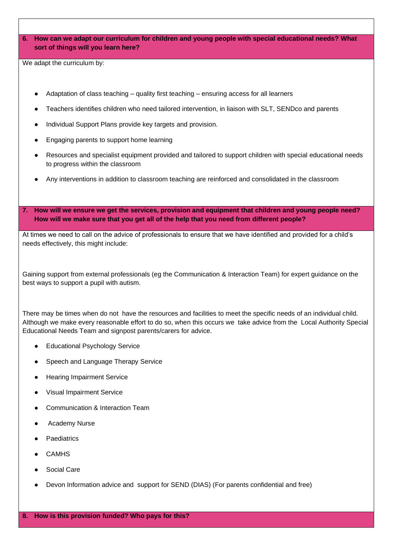**6. How can we adapt our curriculum for children and young people with special educational needs? What sort of things will you learn here?**

We adapt the curriculum by:

- Adaptation of class teaching quality first teaching ensuring access for all learners
- Teachers identifies children who need tailored intervention, in liaison with SLT, SENDco and parents
- Individual Support Plans provide key targets and provision.
- Engaging parents to support home learning
- Resources and specialist equipment provided and tailored to support children with special educational needs to progress within the classroom
- Any interventions in addition to classroom teaching are reinforced and consolidated in the classroom
- **7. How will we ensure we get the services, provision and equipment that children and young people need? How will we make sure that you get all of the help that you need from different people?**

At times we need to call on the advice of professionals to ensure that we have identified and provided for a child's needs effectively, this might include:

Gaining support from external professionals (eg the Communication & Interaction Team) for expert guidance on the best ways to support a pupil with autism.

There may be times when do not have the resources and facilities to meet the specific needs of an individual child. Although we make every reasonable effort to do so, when this occurs we take advice from the Local Authority Special Educational Needs Team and signpost parents/carers for advice.

- **Educational Psychology Service**
- Speech and Language Therapy Service
- **Hearing Impairment Service**
- **Visual Impairment Service**
- Communication & Interaction Team
- **Academy Nurse**
- Paediatrics
- **CAMHS**
- **Social Care**
- Devon Information advice and support for SEND (DIAS) (For parents confidential and free)

**8. How is this provision funded? Who pays for this?**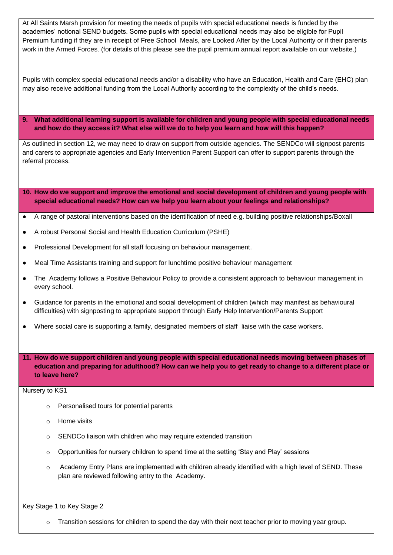At All Saints Marsh provision for meeting the needs of pupils with special educational needs is funded by the academies' notional SEND budgets. Some pupils with special educational needs may also be eligible for Pupil Premium funding if they are in receipt of Free School Meals, are Looked After by the Local Authority or if their parents work in the Armed Forces. (for details of this please see the pupil premium annual report available on our website.)

Pupils with complex special educational needs and/or a disability who have an Education, Health and Care (EHC) plan may also receive additional funding from the Local Authority according to the complexity of the child's needs.

**9. What additional learning support is available for children and young people with special educational needs and how do they access it? What else will we do to help you learn and how will this happen?** 

As outlined in section 12, we may need to draw on support from outside agencies. The SENDCo will signpost parents and carers to appropriate agencies and Early Intervention Parent Support can offer to support parents through the referral process.

**10. How do we support and improve the emotional and social development of children and young people with special educational needs? How can we help you learn about your feelings and relationships?** 

- A range of pastoral interventions based on the identification of need e.g. building positive relationships/Boxall
- A robust Personal Social and Health Education Curriculum (PSHE)
- Professional Development for all staff focusing on behaviour management.
- Meal Time Assistants training and support for lunchtime positive behaviour management
- The Academy follows a Positive Behaviour Policy to provide a consistent approach to behaviour management in every school.
- Guidance for parents in the emotional and social development of children (which may manifest as behavioural difficulties) with signposting to appropriate support through Early Help Intervention/Parents Support
- Where social care is supporting a family, designated members of staff liaise with the case workers.

**11. How do we support children and young people with special educational needs moving between phases of education and preparing for adulthood? How can we help you to get ready to change to a different place or to leave here?**

#### Nursery to KS1

- o Personalised tours for potential parents
- o Home visits
- o SENDCo liaison with children who may require extended transition
- $\circ$  Opportunities for nursery children to spend time at the setting 'Stay and Play' sessions
- $\circ$  Academy Entry Plans are implemented with children already identified with a high level of SEND. These plan are reviewed following entry to the Academy.

Key Stage 1 to Key Stage 2

 $\circ$  Transition sessions for children to spend the day with their next teacher prior to moving year group.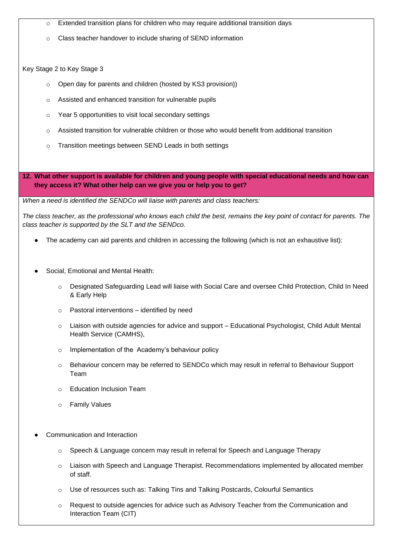- $\circ$  Extended transition plans for children who may require additional transition days
- Class teacher handover to include sharing of SEND information

### Key Stage 2 to Key Stage 3

- Open day for parents and children (hosted by KS3 provision))
- o Assisted and enhanced transition for vulnerable pupils
- o Year 5 opportunities to visit local secondary settings
- $\circ$  Assisted transition for vulnerable children or those who would benefit from additional transition
- o Transition meetings between SEND Leads in both settings

**12. What other support is available for children and young people with special educational needs and how can they access it? What other help can we give you or help you to get?** 

*When a need is identified the SENDCo will liaise with parents and class teachers:*

*The class teacher, as the professional who knows each child the best, remains the key point of contact for parents. The class teacher is supported by the SLT and the SENDco.*

- The academy can aid parents and children in accessing the following (which is not an exhaustive list):
- Social, Emotional and Mental Health:
	- o Designated Safeguarding Lead will liaise with Social Care and oversee Child Protection, Child In Need & Early Help
	- o Pastoral interventions identified by need
	- $\circ$  Liaison with outside agencies for advice and support Educational Psychologist, Child Adult Mental Health Service (CAMHS),
	- o Implementation of the Academy's behaviour policy
	- o Behaviour concern may be referred to SENDCo which may result in referral to Behaviour Support Team
	- o Education Inclusion Team
	- o Family Values
- Communication and Interaction
	- $\circ$  Speech & Language concern may result in referral for Speech and Language Therapy
	- $\circ$  Liaison with Speech and Language Therapist. Recommendations implemented by allocated member of staff.
	- o Use of resources such as: Talking Tins and Talking Postcards, Colourful Semantics
	- o Request to outside agencies for advice such as Advisory Teacher from the Communication and Interaction Team (CIT)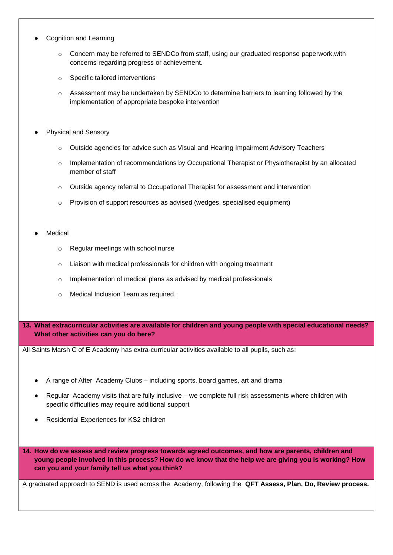- **Cognition and Learning** 
	- Concern may be referred to SENDCo from staff, using our graduated response paperwork, with concerns regarding progress or achievement.
	- o Specific tailored interventions
	- o Assessment may be undertaken by SENDCo to determine barriers to learning followed by the implementation of appropriate bespoke intervention
- **Physical and Sensory** 
	- o Outside agencies for advice such as Visual and Hearing Impairment Advisory Teachers
	- o Implementation of recommendations by Occupational Therapist or Physiotherapist by an allocated member of staff
	- $\circ$  Outside agency referral to Occupational Therapist for assessment and intervention
	- o Provision of support resources as advised (wedges, specialised equipment)
- **Medical** 
	- o Regular meetings with school nurse
	- o Liaison with medical professionals for children with ongoing treatment
	- o Implementation of medical plans as advised by medical professionals
	- o Medical Inclusion Team as required.
- **13. What extracurricular activities are available for children and young people with special educational needs? What other activities can you do here?**

All Saints Marsh C of E Academy has extra-curricular activities available to all pupils, such as:

- A range of After Academy Clubs including sports, board games, art and drama
- Regular Academy visits that are fully inclusive we complete full risk assessments where children with specific difficulties may require additional support
- Residential Experiences for KS2 children

**14. How do we assess and review progress towards agreed outcomes, and how are parents, children and young people involved in this process? How do we know that the help we are giving you is working? How can you and your family tell us what you think?**

A graduated approach to SEND is used across the Academy, following the **QFT Assess, Plan, Do, Review process.**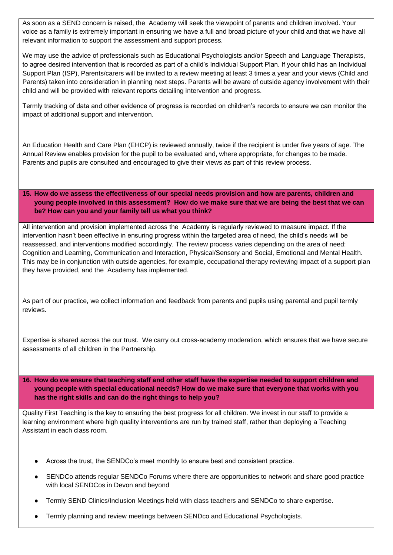As soon as a SEND concern is raised, the Academy will seek the viewpoint of parents and children involved. Your voice as a family is extremely important in ensuring we have a full and broad picture of your child and that we have all relevant information to support the assessment and support process.

We may use the advice of professionals such as Educational Psychologists and/or Speech and Language Therapists, to agree desired intervention that is recorded as part of a child's Individual Support Plan. If your child has an Individual Support Plan (ISP), Parents/carers will be invited to a review meeting at least 3 times a year and your views (Child and Parents) taken into consideration in planning next steps. Parents will be aware of outside agency involvement with their child and will be provided with relevant reports detailing intervention and progress.

Termly tracking of data and other evidence of progress is recorded on children's records to ensure we can monitor the impact of additional support and intervention.

An Education Health and Care Plan (EHCP) is reviewed annually, twice if the recipient is under five years of age. The Annual Review enables provision for the pupil to be evaluated and, where appropriate, for changes to be made. Parents and pupils are consulted and encouraged to give their views as part of this review process.

**15. How do we assess the effectiveness of our special needs provision and how are parents, children and young people involved in this assessment? How do we make sure that we are being the best that we can be? How can you and your family tell us what you think?**

All intervention and provision implemented across the Academy is regularly reviewed to measure impact. If the intervention hasn't been effective in ensuring progress within the targeted area of need, the child's needs will be reassessed, and interventions modified accordingly. The review process varies depending on the area of need: Cognition and Learning, Communication and Interaction, Physical/Sensory and Social, Emotional and Mental Health. This may be in conjunction with outside agencies, for example, occupational therapy reviewing impact of a support plan they have provided, and the Academy has implemented.

As part of our practice, we collect information and feedback from parents and pupils using parental and pupil termly reviews.

Expertise is shared across the our trust. We carry out cross-academy moderation, which ensures that we have secure assessments of all children in the Partnership.

**16. How do we ensure that teaching staff and other staff have the expertise needed to support children and young people with special educational needs? How do we make sure that everyone that works with you has the right skills and can do the right things to help you?**

Quality First Teaching is the key to ensuring the best progress for all children. We invest in our staff to provide a learning environment where high quality interventions are run by trained staff, rather than deploying a Teaching Assistant in each class room.

- Across the trust, the SENDCo's meet monthly to ensure best and consistent practice.
- SENDCo attends regular SENDCo Forums where there are opportunities to network and share good practice with local SENDCos in Devon and beyond
- Termly SEND Clinics/Inclusion Meetings held with class teachers and SENDCo to share expertise.
- Termly planning and review meetings between SENDco and Educational Psychologists.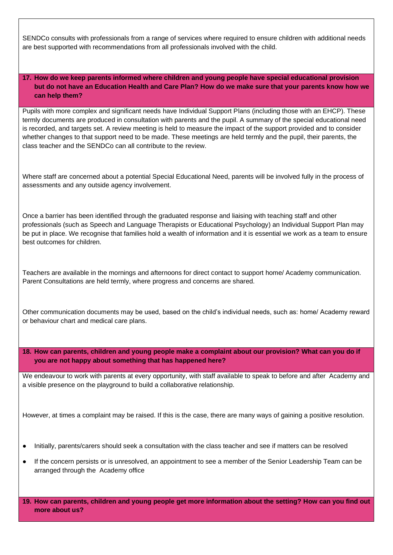SENDCo consults with professionals from a range of services where required to ensure children with additional needs are best supported with recommendations from all professionals involved with the child.

# **17. How do we keep parents informed where children and young people have special educational provision but do not have an Education Health and Care Plan? How do we make sure that your parents know how we can help them?**

Pupils with more complex and significant needs have Individual Support Plans (including those with an EHCP). These termly documents are produced in consultation with parents and the pupil. A summary of the special educational need is recorded, and targets set. A review meeting is held to measure the impact of the support provided and to consider whether changes to that support need to be made. These meetings are held termly and the pupil, their parents, the class teacher and the SENDCo can all contribute to the review.

Where staff are concerned about a potential Special Educational Need, parents will be involved fully in the process of assessments and any outside agency involvement.

Once a barrier has been identified through the graduated response and liaising with teaching staff and other professionals (such as Speech and Language Therapists or Educational Psychology) an Individual Support Plan may be put in place. We recognise that families hold a wealth of information and it is essential we work as a team to ensure best outcomes for children.

Teachers are available in the mornings and afternoons for direct contact to support home/ Academy communication. Parent Consultations are held termly, where progress and concerns are shared.

Other communication documents may be used, based on the child's individual needs, such as: home/ Academy reward or behaviour chart and medical care plans.

**18. How can parents, children and young people make a complaint about our provision? What can you do if you are not happy about something that has happened here?** 

We endeavour to work with parents at every opportunity, with staff available to speak to before and after Academy and a visible presence on the playground to build a collaborative relationship.

However, at times a complaint may be raised. If this is the case, there are many ways of gaining a positive resolution.

- Initially, parents/carers should seek a consultation with the class teacher and see if matters can be resolved
- If the concern persists or is unresolved, an appointment to see a member of the Senior Leadership Team can be arranged through the Academy office

**19. How can parents, children and young people get more information about the setting? How can you find out more about us?**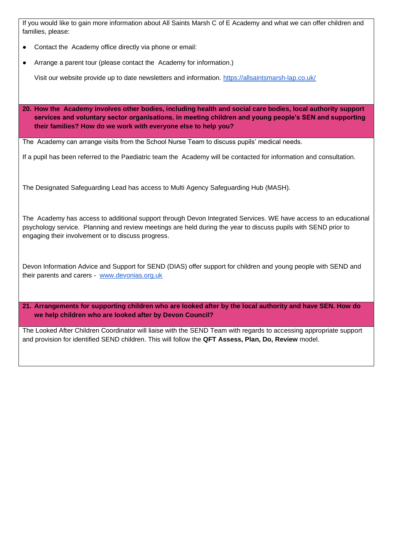If you would like to gain more information about All Saints Marsh C of E Academy and what we can offer children and families, please:

- Contact the Academy office directly via phone or email:
- Arrange a parent tour (please contact the Academy for information.)

Visit our website provide up to date newsletters and information.<https://allsaintsmarsh-lap.co.uk/>

**20. How the Academy involves other bodies, including health and social care bodies, local authority support services and voluntary sector organisations, in meeting children and young people's SEN and supporting their families? How do we work with everyone else to help you?**

The Academy can arrange visits from the School Nurse Team to discuss pupils' medical needs.

If a pupil has been referred to the Paediatric team the Academy will be contacted for information and consultation.

The Designated Safeguarding Lead has access to Multi Agency Safeguarding Hub (MASH).

The Academy has access to additional support through Devon Integrated Services. WE have access to an educational psychology service. Planning and review meetings are held during the year to discuss pupils with SEND prior to engaging their involvement or to discuss progress.

Devon Information Advice and Support for SEND (DIAS) offer support for children and young people with SEND and their parents and carers - [www.devonias.org.uk](http://www.devonias.org.uk/)

**21. Arrangements for supporting children who are looked after by the local authority and have SEN. How do we help children who are looked after by Devon Council?**

The Looked After Children Coordinator will liaise with the SEND Team with regards to accessing appropriate support and provision for identified SEND children. This will follow the **QFT Assess, Plan, Do, Review** model.